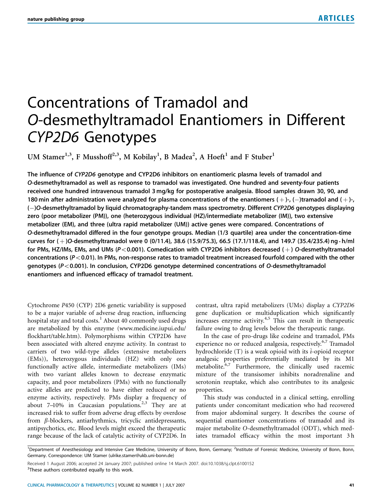# Concentrations of Tramadol and O-desmethyltramadol Enantiomers in Different CYP2D6 Genotypes

UM Stamer<sup>1,3</sup>, F Musshoff<sup>2,3</sup>, M Kobilay<sup>1</sup>, B Madea<sup>2</sup>, A Hoeft<sup>1</sup> and F Stuber<sup>1</sup>

The influence of CYP2D6 genotype and CYP2D6 inhibitors on enantiomeric plasma levels of tramadol and O-desmethyltramadol as well as response to tramadol was investigated. One hundred and seventy-four patients received one hundred intravenous tramadol 3 mg/kg for postoperative analgesia. Blood samples drawn 30, 90, and 180 min after administration were analyzed for plasma concentrations of the enantiomers (+)-, (-)tramadol and (+)-, (-)O-desmethyltramadol by liquid chromatography-tandem mass spectrometry. Different CYP2D6 genotypes displaying zero (poor metabolizer (PM)), one (heterozygous individual (HZ)/intermediate metabolizer (IM)), two extensive metabolizer (EM), and three (ultra rapid metabolizer (UM)) active genes were compared. Concentrations of O-desmethyltramadol differed in the four genotype groups. Median (1/3 quartile) area under the concentration–time curves for  $(+)$ O-desmethyltramadol were 0 (0/11.4), 38.6 (15.9/75.3), 66.5 (17.1/118.4), and 149.7 (35.4/235.4) ng  $\cdot$  h/ml for PMs, HZ/IMs, EMs, and UMs ( $P < 0.001$ ). Comedication with CYP2D6 inhibitors decreased ( $+$ ) O-desmethyltramadol concentrations ( $P < 0.01$ ). In PMs, non-response rates to tramadol treatment increased fourfold compared with the other genotypes ( $P < 0.001$ ). In conclusion, CYP2D6 genotype determined concentrations of O-desmethyltramadol enantiomers and influenced efficacy of tramadol treatment.

Cytochrome P450 (CYP) 2D6 genetic variability is supposed to be a major variable of adverse drug reaction, influencing hospital stay and total costs.<sup>1</sup> About 40 commonly used drugs are metabolized by this enzyme (www.medicine.iupui.edu/ flockhart/table.htm). Polymorphisms within CYP2D6 have been associated with altered enzyme activity. In contrast to carriers of two wild-type alleles (extensive metabolizers (EMs)), heterozygous individuals (HZ) with only one functionally active allele, intermediate metabolizers (IMs) with two variant alleles known to decrease enzymatic capacity, and poor metabolizers (PMs) with no functionally active alleles are predicted to have either reduced or no enzyme activity, respectively. PMs display a frequency of about  $7-10\%$  in Caucasian populations.<sup>2,3</sup> They are at increased risk to suffer from adverse drug effects by overdose from  $\beta$ -blockers, antiarhythmics, tricyclic antidepressants, antipsychotics, etc. Blood levels might exceed the therapeutic range because of the lack of catalytic activity of CYP2D6. In contrast, ultra rapid metabolizers (UMs) display a CYP2D6 gene duplication or multiduplication which significantly increases enzyme activity. $4,5$  This can result in therapeutic failure owing to drug levels below the therapeutic range.

In the case of pro-drugs like codeine and tramadol, PMs experience no or reduced analgesia, respectively.<sup>6,7</sup> Tramadol hydrochloride  $(T)$  is a weak opioid with its  $\lambda$ -opioid receptor analgesic properties preferentially mediated by its M1 metabolite.<sup>6,7</sup> Furthermore, the clinically used racemic mixture of the transisomer inhibits noradrenaline and serotonin reuptake, which also contributes to its analgesic properties.

This study was conducted in a clinical setting, enrolling patients under concomitant medication who had recovered from major abdominal surgery. It describes the course of sequential enantiomer concentrations of tramadol and its major metabolite O-desmethyltramadol (ODT), which mediates tramadol efficacy within the most important 3 h

<sup>&</sup>lt;sup>1</sup>Department of Anesthesiology and Intensive Care Medicine, University of Bonn, Bonn, Germany; <sup>2</sup>Institute of Forensic Medicine, University of Bonn, Bonn, Germany. Correspondence: UM Stamer (ulrike.stamer@ukb.uni-bonn.de)

Received 1 August 2006; accepted 24 January 2007; published online 14 March 2007. doi:10.1038/sj.clpt.6100152 <sup>3</sup>These authors contributed equally to this work.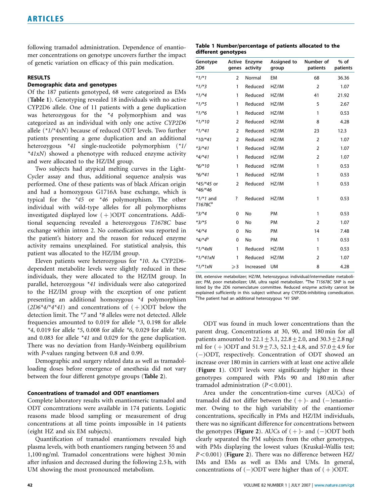following tramadol administration. Dependence of enantiomer concentrations on genotype uncovers further the impact of genetic variation on efficacy of this pain medication.

# RESULTS

## Demographic data and genotypes

Of the 187 patients genotyped, 68 were categorized as EMs (Table 1). Genotyping revealed 18 individuals with no active CYP2D6 allele. One of 11 patients with a gene duplication was heterozygous for the \*4 polymorphism and was categorized as an individual with only one active CYP2D6 allele  $(*1/*4xN)$  because of reduced ODT levels. Two further patients presenting a gene duplication and an additional heterozygous \*41 single-nucleotide polymorphism (\*1/  $*41xN$ ) showed a phenotype with reduced enzyme activity and were allocated to the HZ/IM group.

Two subjects had atypical melting curves in the Light-Cycler assay and thus, additional sequence analysis was performed. One of these patients was of black African origin and had a homozygous G1716A base exchange, which is typical for the \*45 or \*46 polymorphism. The other individual with wild-type alleles for all polymorphisms investigated displayed low  $(+)$ ODT concentrations. Additional sequencing revealed a heterozygous T1678C base exchange within intron 2. No comedication was reported in the patient's history and the reason for reduced enzyme activity remains unexplained. For statistical analysis, this patient was allocated to the HZ/IM group.

Eleven patients were heterozygous for \*10. As CYP2D6 dependent metabolite levels were slightly reduced in these individuals, they were allocated to the HZ/IM group. In parallel, heterozygous \*41 individuals were also categorized to the HZ/IM group with the exception of one patient presenting an additional homozygous \*4 polymorphism  $(2D6*4)*4*41$  and concentrations of  $(+)$ ODT below the detection limit. The \*7 and \*8 alleles were not detected. Allele frequencies amounted to 0.019 for allele \*3, 0.198 for allele \*4, 0.019 for allele \*5, 0.008 for allele \*6, 0.029 for allele \*10, and 0.083 for allele \*41 and 0.029 for the gene duplication. There was no deviation from Hardy–Weinberg equilibrium with P-values ranging between 0.8 and 0.99.

Demographic and surgery related data as well as tramadolloading doses before emergence of anesthesia did not vary between the four different genotype groups (Table 2).

# Concentrations of tramadol and ODT enantiomers

Complete laboratory results with enantiomeric tramadol and ODT concentrations were available in 174 patients. Logistic reasons made blood sampling or measurement of drug concentrations at all time points impossible in 14 patients (eight HZ and six EM subjects).

Quantification of tramadol enantiomers revealed high plasma levels, with both enantiomers ranging between 55 and 1,100 ng/ml. Tramadol concentrations were highest 30 min after infusion and decreased during the following 2.5 h, with UM showing the most pronounced metabolism.

Table 1 Number/percentage of patients allocated to the different genotypes

| Genotype<br><b>2D6</b>             | Active<br>genes | Enzyme<br>activity | Assigned to<br>group | Number of<br>patients | $%$ of<br>patients |
|------------------------------------|-----------------|--------------------|----------------------|-----------------------|--------------------|
| $*1/*1$                            | $\overline{2}$  | Normal             | EM                   | 68                    | 36.36              |
| $*1/*3$                            | 1               | Reduced            | HZ/IM                | $\overline{2}$        | 1.07               |
| $*1/*4$                            | 1               | Reduced            | HZ/IM                | 41                    | 21.92              |
| $*1/*5$                            | 1               | Reduced            | HZ/IM                | 5                     | 2.67               |
| $*1/*6$                            | 1               | Reduced            | HZ/IM                | 1                     | 0.53               |
| $*1/*10$                           | $\overline{2}$  | Reduced            | HZ/IM                | 8                     | 4.28               |
| $*1/*41$                           | $\overline{2}$  | Reduced            | HZ/IM                | 23                    | 12.3               |
| $*10/*41$                          | $\overline{2}$  | Reduced            | HZ/IM                | $\overline{2}$        | 1.07               |
| $*3/*41$                           | $\mathbf{1}$    | Reduced            | HZ/IM                | $\overline{2}$        | 1.07               |
| $*4/*41$                           | 1               | Reduced            | HZ/IM                | $\overline{2}$        | 1.07               |
| $*6/*10$                           | $\mathbf{1}$    | Reduced            | HZ/IM                | 1                     | 0.53               |
| $*6/*41$                           | 1               | Reduced            | HZ/IM                | 1                     | 0.53               |
| *45/*45 or<br>$*46/*46$            | $\overline{2}$  | Reduced            | HZ/IM                | 1                     | 0.53               |
| $*1/*1$ and<br>T1678C <sup>a</sup> | ?               | Reduced            | HZ/IM                | 1                     | 0.53               |
| $*3/*4$                            | $\mathbf 0$     | No                 | PM                   | 1                     | 0.53               |
| $*3/*5$                            | $\mathbf 0$     | No                 | PM                   | $\overline{2}$        | 1.07               |
| $*4/*4$                            | 0               | No                 | <b>PM</b>            | 14                    | 7.48               |
| *4/*4 <sup>b</sup>                 | 0               | No                 | PM                   | 1                     | 0.53               |
| $*1/*4xN$                          | 1               | Reduced            | HZ/IM                | 1                     | 0.53               |
| $*1/*41xN$                         | 1               | Reduced            | HZ/IM                | $\overline{2}$        | 1.07               |
| $*1/*1xN$                          | $\geqslant$ 3   | Increased          | <b>UM</b>            | 8                     | 4.28               |

EM, extensive metabolizer; HZ/IM, heterozygous individual/intermediate metabolizer; PM, poor metabolizer; UM, ultra rapid metabolizer. <sup>a</sup>The T15678C SNP is not listed by the 2D6 nomenclature committee. Reduced enzyme activity cannot be explained sufficiently in this subject without any CYP2D6-inhibiting comedication. <sup>b</sup>The patient had an additional heterozygous \*41 SNP.

ODT was found in much lower concentrations than the parent drug. Concentrations at 30, 90, and 180 min for all patients amounted to  $22.1 \pm 3.1$ ,  $22.8 \pm 2.0$ , and  $30.3 \pm 2.8$  ng/ ml for  $(+)$ ODT and 51.9+7.3, 52.1+4.8, and 57.0+4.9 for (-)ODT, respectively. Concentration of ODT showed an increase over 180 min in carriers with at least one active allele (Figure 1). ODT levels were significantly higher in these genotypes compared with PMs 90 and 180 min after tramadol administration  $(P<0.001)$ .

Area under the concentration–time curves (AUCs) of tramadol did not differ between the  $(+)$ - and  $(-)$ enantiomer. Owing to the high variability of the enantiomer concentrations, specifically in PMs and HZ/IM individuals, there was no significant difference for concentrations between the genotypes (**Figure 2**). AUCs of  $(+)$ - and  $(-)$ ODT both clearly separated the PM subjects from the other genotypes, with PMs displaying the lowest values (Kruskal–Wallis test;  $P<0.001$ ) (Figure 2). There was no difference between HZ/ IMs and EMs as well as EMs and UMs. In general, concentrations of  $(-)$ ODT were higher than of  $(+)$ ODT.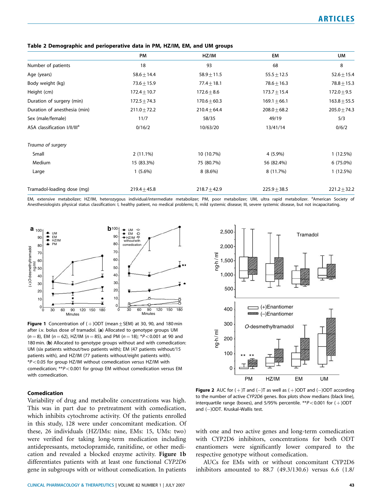| Table 2 Demographic and perioperative data in PM, HZ/IM, EM, and UM groups |  |  |  |  |  |  |
|----------------------------------------------------------------------------|--|--|--|--|--|--|
|----------------------------------------------------------------------------|--|--|--|--|--|--|

|                                          | PM               | HZ/IM            | EM               | UM              |
|------------------------------------------|------------------|------------------|------------------|-----------------|
| Number of patients                       | 18               | 93               | 68               | 8               |
| Age (years)                              | $58.6 \pm 14.4$  | $58.9 \pm 11.5$  | $55.5 \pm 12.5$  | $52.6 \pm 15.4$ |
| Body weight (kg)                         | $73.6 \pm 15.9$  | $77.4 \pm 18.1$  | $78.6 \pm 16.3$  | $78.8 \pm 15.3$ |
| Height (cm)                              | $172.4 \pm 10.7$ | $172.6 \pm 8.6$  | $173.7 \pm 15.4$ | $172.0 \pm 9.5$ |
| Duration of surgery (min)                | $172.5 \pm 74.3$ | $170.6 \pm 60.3$ | $169.1 \pm 66.1$ | $163.8 + 55.5$  |
| Duration of anesthesia (min)             | $211.0 \pm 72.2$ | $210.4 \pm 64.4$ | $208.0 \pm 68.2$ | $205.0 + 74.3$  |
| Sex (male/female)                        | 11/7             | 58/35            | 49/19            | 5/3             |
| ASA classification I/II/III <sup>a</sup> | 0/16/2           | 10/63/20         | 13/41/14         | 0/6/2           |
| Trauma of surgery                        |                  |                  |                  |                 |
| Small                                    | $2(11.1\%)$      | 10 (10.7%)       | 4 (5.9%)         | 1(12.5%)        |
| Medium                                   | 15 (83.3%)       | 75 (80.7%)       | 56 (82.4%)       | 6 (75.0%)       |
| Large                                    | $1(5.6\%)$       | $8(8.6\%)$       | 8 (11.7%)        | 1(12.5%)        |
| Tramadol-loading dose (mg)               | $219.4 \pm 45.8$ | $218.7 + 42.9$   | $225.9 + 38.5$   | $221.2 + 32.2$  |

EM, extensive metabolizer; HZ/IM, heterozygous individual/intermediate metabolizer; PM, poor metabolizer; UM, ultra rapid metabolizer. <sup>a</sup>American Society of Anesthesiologists physical status classification: I, healthy patient, no medical problems; II, mild systemic disease; III, severe systemic disease, but not incapacitating.



**Figure 1** Concentration of  $(+)$  ODT (mean + SEM) at 30, 90, and 180 min after i.v. bolus dose of tramadol. (a) Allocated to genotype groups UM  $(n = 8)$ , EM  $(n = 62)$ , HZ/IM  $(n = 85)$ , and PM  $(n = 18)$ ; \*P < 0.001 at 90 and 180 min. (b) Allocated to genotype groups without and with comedication: UM (six patients without/two patients with); EM (47 patients without/15 patients with), and HZ/IM (77 patients without/eight patients with).  $*P<0.05$  for group HZ/IM without comedication versus HZ/IM with comedication;  $*p<0.001$  for group EM without comedication versus EM with comedication.



## Comedication

Variability of drug and metabolite concentrations was high. This was in part due to pretreatment with comedication, which inhibits cytochrome activity. Of the patients enrolled in this study, 128 were under concomitant medication. Of these, 26 individuals (HZ/IMs: nine, EMs: 15, UMs: two) were verified for taking long-term medication including antidepressants, metoclopramide, ranitidine, or other medication and revealed a blocked enzyme activity. Figure 1b differentiates patients with at least one functional CYP2D6 gene in subgroups with or without comedication. In patients

**Figure 2** AUC for  $(+)$ T and  $(-)$ T as well as  $(+)$ ODT and  $(-)$ ODT according to the number of active CYP2D6 genes. Box plots show medians (black line), interquartile range (boxes), and 5/95% percentile.  $**P<0.001$  for ( $+$ )ODT and (—)ODT. Kruskal–Wallis test.

with one and two active genes and long-term comedication with CYP2D6 inhibitors, concentrations for both ODT enantiomers were significantly lower compared to the respective genotype without comedication.

AUCs for EMs with or without concomitant CYP2D6 inhibitors amounted to 88.7 (49.3/130.6) versus 6.6 (1.8/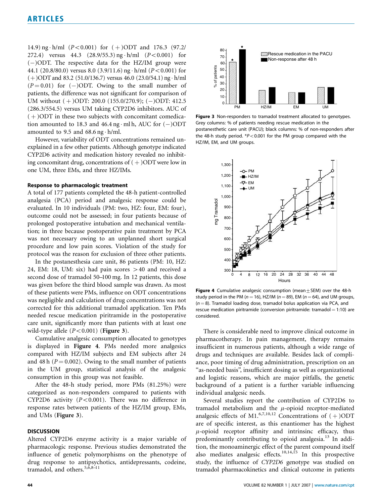14.9) ng  $\cdot$  h/ml (P<0.001) for (+)ODT and 176.3 (97.2/ 272.4) versus 44.3  $(28.9/55.3)$  ng  $\cdot$  h/ml  $(P<0.001)$  for (-)ODT. The respective data for the HZ/IM group were 44.1 (20.8/80.0) versus 8.0 (3.9/11.6) ng  $\cdot$  h/ml (P<0.001) for  $(+)$ ODT and 83.2 (51.0/136.7) versus 46.0 (23.0/54.1) ng  $\cdot$  h/ml  $(P = 0.01)$  for  $(-)$ ODT. Owing to the small number of patients, the difference was not significant for comparison of UM without (+)ODT: 200.0 (155.0/270.9); (-)ODT: 412.5 (286.3/554.5) versus UM taking CYP2D6 inhibitors. AUC of  $(+)$ ODT in these two subjects with concomitant comedication amounted to 18.3 and  $46.4$  ng  $\cdot$  ml h, AUC for  $(-)$ ODT amounted to 9.5 and  $68.6$  ng  $\cdot$  h/ml.

However, variability of ODT concentrations remained unexplained in a few other patients. Although genotype indicated CYP2D6 activity and medication history revealed no inhibiting concomitant drug, concentrations of  $(+)$ ODT were low in one UM, three EMs, and three HZ/IMs.

# Response to pharmacologic treatment

A total of 177 patients completed the 48-h patient-controlled analgesia (PCA) period and analgesic response could be evaluated. In 10 individuals (PM: two, HZ: four, EM: four), outcome could not be assessed; in four patients because of prolonged postoperative intubation and mechanical ventilation; in three because postoperative pain treatment by PCA was not necessary owing to an unplanned short surgical procedure and low pain scores. Violation of the study for protocol was the reason for exclusion of three other patients.

In the postanesthesia care unit, 86 patients (PM: 10, HZ: 24, EM: 18, UM: six) had pain scores  $>40$  and received a second dose of tramadol 50–100 mg. In 12 patients, this dose was given before the third blood sample was drawn. As most of these patients were PMs, influence on ODT concentrations was negligible and calculation of drug concentrations was not corrected for this additional tramadol application. Ten PMs needed rescue medication piritramide in the postoperative care unit, significantly more than patients with at least one wild-type allele  $(P<0.001)$  (Figure 3).

Cumulative analgesic consumption allocated to genotypes is displayed in Figure 4. PMs needed more analgesics compared with HZ/IM subjects and EM subjects after 24 and 48 h ( $P = 0.002$ ). Owing to the small number of patients in the UM group, statistical analysis of the analgesic consumption in this group was not feasible.

After the 48-h study period, more PMs (81.25%) were categorized as non-responders compared to patients with CYP2D6 activity  $(P<0.001)$ . There was no difference in response rates between patients of the HZ/IM group, EMs, and UMs (Figure 3).

#### **DISCUSSION**

Altered CYP2D6 enzyme activity is a major variable of pharmacologic response. Previous studies demonstrated the influence of genetic polymorphisms on the phenotype of drug response to antipsychotics, antidepressants, codeine, tramadol, and others.<sup>5, $\tilde{6}$ , $8\tilde{-}11$ </sup>



Figure 3 Non-responders to tramadol treatment allocated to genotypes. Grey columns: % of patients needing rescue medication in the postanesthetic care unit (PACU); black columns: % of non-responders after the 48-h study period.  $*P<0.001$  for the PM group compared with the HZ/IM, EM, and UM groups.



Figure 4 Cumulative analgesic consumption (mean $\pm$  SEM) over the 48-h study period in the PM ( $n = 16$ ), HZ/IM ( $n = 89$ ), EM ( $n = 64$ ), and UM groups,  $(n = 8)$ . Tramadol loading dose, tramadol bolus application via PCA, and rescue medication piritramide (conversion piritramide: tramadol = 1:10) are considered.

There is considerable need to improve clinical outcome in pharmacotherapy. In pain management, therapy remains insufficient in numerous patients, although a wide range of drugs and techniques are available. Besides lack of compliance, poor timing of drug administration, prescription on an ''as-needed basis'', insufficient dosing as well as organizational and logistic reasons, which are major pitfalls, the genetic background of a patient is a further variable influencing individual analgesic needs.

Several studies report the contribution of CYP2D6 to tramadol metabolism and the  $\mu$ -opioid receptor-mediated analgesic effects of M1.<sup>6,7,10,12</sup> Concentrations of  $(+)$ ODT are of specific interest, as this enantiomer has the highest  $\mu$ -opioid receptor affinity and intrinsinc efficacy, thus predominantly contributing to opioid analgesia.<sup>13</sup> In addition, the monoaminergic effect of the parent compound itself also mediates analgesic effects.<sup>10,14,15</sup> In this prospective study, the influence of CYP2D6 genotype was studied on tramadol pharmacokinetics and clinical outcome in patients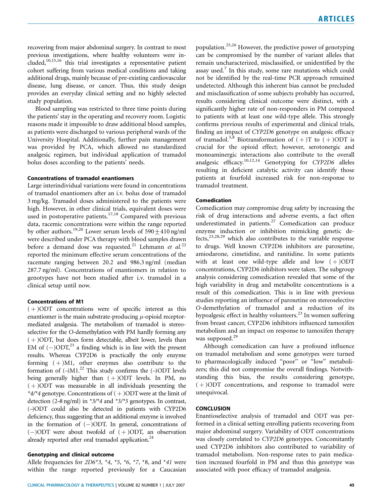recovering from major abdominal surgery. In contrast to most previous investigations, where healthy volunteers were included,10,15,16 this trial investigates a representative patient cohort suffering from various medical conditions and taking additional drugs, mainly because of pre-existing cardiovascular disease, lung disease, or cancer. Thus, this study design provides an everyday clinical setting and no highly selected study population.

Blood sampling was restricted to three time points during the patients' stay in the operating and recovery room. Logistic reasons made it impossible to draw additional blood samples, as patients were discharged to various peripheral wards of the University Hospital. Additionally, further pain management was provided by PCA, which allowed no standardized analgesic regimen, but individual application of tramadol bolus doses according to the patients' needs.

## Concentrations of tramadol enantiomers

Large interindividual variations were found in concentrations of tramadol enantiomers after an i.v. bolus dose of tramadol 3 mg/kg. Tramadol doses administered to the patients were high. However, in other clinical trials, equivalent doses were used in postoperative patients.<sup>17,18</sup> Compared with previous data, racemic concentrations were within the range reported by other authors.<sup>19,20</sup> Lower serum levels of  $590 \pm 410$  ng/ml were described under PCA therapy with blood samples drawn before a demand dose was requested.<sup>21</sup> Lehmann et al.<sup>22</sup> reported the minimum effective serum concentrations of the racemate ranging between 20.2 and 986.3 ng/ml (median 287.7 ng/ml). Concentrations of enantiomers in relation to genotypes have not been studied after i.v. tramadol in a clinical setup until now.

#### Concentrations of M1

 $(+)$ ODT concentrations were of specific interest as this enantiomer is the main substrate-producing  $\mu$ -opioid receptormediated analgesia. The metabolism of tramadol is stereoselective for the O-demethylation with PM hardly forming any  $(+)$ ODT, but does form detectable, albeit lower, levels than EM of  $(-)$ ODT,<sup>23</sup> a finding which is in line with the present results. Whereas CYP2D6 is practically the only enzyme forming  $(+)M1$ , other enzymes also contribute to the formation of  $(-)$ M1.<sup>22</sup> This study confirms the  $(-)$ ODT levels being generally higher than  $(+)$ ODT levels. In PM, no  $(+)$ ODT was measurable in all individuals presenting the \*4/\*4 genotype. Concentrations of  $(+)$ ODT were at the limit of detection (2–8 ng/ml) in \*3/\*4 and \*3/\*5 genotypes. In contrast, (–)ODT could also be detected in patients with CYP2D6 deficiency, thus suggesting that an additional enzyme is involved in the formation of  $(-)$ ODT. In general, concentrations of  $(-)$ ODT were about twofold of  $(+)$ ODT, an observation already reported after oral tramadol application.<sup>24</sup>

# Genotyping and clinical outcome

Allele frequencies for  $2D6*3$ ,  $*4$ ,  $*5$ ,  $*6$ ,  $*7$ ,  $*8$ , and  $*41$  were within the range reported previously for a Caucasian

population.<sup>25,26</sup> However, the predictive power of genotyping can be compromised by the number of variant alleles that remain uncharacterized, misclassified, or unidentified by the assay used. $<sup>7</sup>$  In this study, some rare mutations which could</sup> not be identified by the real-time PCR approach remained undetected. Although this inherent bias cannot be precluded and misclassification of some subjects probably has occurred, results considering clinical outcome were distinct, with a significantly higher rate of non-responders in PM compared to patients with at least one wild-type allele. This strongly confirms previous results of experimental and clinical trials, finding an impact of CYP2D6 genotype on analgesic efficacy of tramadol.<sup>5,8</sup> Biotransformation of  $(+)$ T to  $(+)$ ODT is crucial for the opioid effect; however, serotonergic and monoaminergic interactions also contribute to the overall analgesic efficacy.10,12,14 Genotyping for CYP2D6 alleles resulting in deficient catalytic activity can identify those patients at fourfold increased risk for non-response to tramadol treatment.

# Comedication

Comedication may compromise drug safety by increasing the risk of drug interactions and adverse events, a fact often underestimated in patients. $27$  Comedication can produce enzyme induction or inhibition mimicking genetic defects, $2^{3,28,29}$  which also contributes to the variable response to drugs. Well known CYP2D6 inhibitors are paroxetine, amiodarone, cimetidine, and ranitidine. In some patients with at least one wild-type allele and low  $(+)$ ODT concentrations, CYP2D6 inhibitors were taken. The subgroup analysis considering comedication revealed that some of the high variability in drug and metabolite concentrations is a result of this comedication. This is in line with previous studies reporting an influence of paroxetine on stereoselective O-demethylation of tramadol and a reduction of its hypoalgesic effect in healthy volunteers.<sup>23</sup> In women suffering from breast cancer, CYP2D6 inhibitors influenced tamoxifen metabolism and an impact on response to tamoxifen therapy was supposed.<sup>29</sup>

Although comedication can have a profound influence on tramadol metabolism and some genotypes were turned to pharmacologically induced ''poor'' or ''low'' metabolizers; this did not compromise the overall findings. Notwithstanding this bias, the results considering genotype,  $(+)$ ODT concentrations, and response to tramadol were unequivocal.

# **CONCLUSION**

Enantioselective analysis of tramadol and ODT was performed in a clinical setting enrolling patients recovering from major abdominal surgery. Variability of ODT concentrations was closely correlated to CYP2D6 genotypes. Concomitantly used CYP2D6 inhibitors also contributed to variability of tramadol metabolism. Non-response rates to pain medication increased fourfold in PM and thus this genotype was associated with poor efficacy of tramadol analgesia.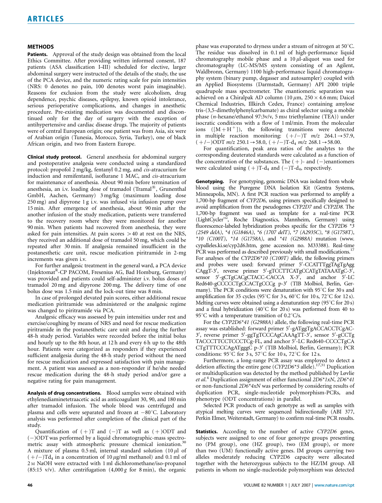#### METHODS

Patients. Approval of the study design was obtained from the local Ethics Committee. After providing written informed consent, 187 patients (ASA classification I–III) scheduled for elective, larger abdominal surgery were instructed of the details of the study, the use of the PCA device, and the numeric rating scale for pain intensities (NRS: 0 denotes no pain, 100 denotes worst pain imaginable). Reasons for exclusion from the study were alcoholism, drug dependence, psychic diseases, epilepsy, known opioid intolerance, serious perioperative complications, and changes in anesthetic procedure. Pre-existing medication was documented and discontinued only for the day of surgery with the exception of antihypertensive and cardiac disease drugs. The majority of patients were of central European origin; one patient was from Asia, six were of Arabian origin (Tunesia, Morocco, Syria, Turkey), one of black African origin, and two from Eastern Europe.

Clinical study protocol. General anesthesia for abdominal surgery and postoperative analgesia were conducted using a standardized protocol: propofol 2 mg/kg, fentanyl 0.2 mg, and cis-atracurium for induction and remifentanil, isoflurane 1 MAC, and cis-atracurium for maintenance of anesthesia. About 90 min before termination of anesthesia, an i.v. loading dose of tramadol (Tramal®, Grunenthal GmbH, Aachen, Germany) 3 mg/kg (maximum loading dose 250 mg) and dipyrone 1 g i.v. was infused via infusion pump over 15 min. After emergence of anesthesia, about 90 min after the another infusion of the study medication, patients were transferred to the recovery room where they were monitored for another 90 min. When patients had recovered from anesthesia, they were asked for pain intensities. At pain scores  $>40$  at rest on the NRS, they received an additional dose of tramadol 50 mg, which could be repeated after 30 min. If analgesia remained insufficient in the postanesthetic care unit, rescue medication piritramide in 2-mg increments was given i.v.

For further analgesic treatment in the general ward, a PCA device (Injektomat<sup>R</sup>-CP PACOM, Fresenius AG, Bad Homburg, Germany) was provided and patients could self-administer i.v. bolus doses of tramadol 20 mg and dipyrone 200 mg. The delivery time of one bolus dose was 1.5 min and the lock-out time was 8 min.

In case of prolonged elevated pain scores, either additional rescue medication piritramide was administered or the analgesic regime was changed to piritramide via PCA.

Analgesic efficacy was assessed by pain intensities under rest and exercise/coughing by means of NRS and need for rescue medication piritramide in the postanesthetic care unit and during the further 48-h study period. Variables were recorded before the initial bolus and hourly up to the 8th hour, at 12 h and every 6 h up to the 48th hour. Patients were categorized as responders if they experienced sufficient analgesia during the 48-h study period without the need for rescue medication and expressed satisfaction with pain management. A patient was assessed as a non-responder if he/she needed rescue medication during the 48-h study period and/or gave a negative rating for pain management.

Analysis of drug concentrations. Blood samples were obtained with ethylenediaminetetraacetic acid as anticoagulant 30, 90, and 180 min after tramadol infusion. The whole blood was centrifuged and plasma and cells were separated and frozen at  $-80^{\circ}$ C. Laboratory analysis was performed after completion of the clinical part of the study.

Quantification of  $(+)$ T and  $(-)$ T as well as  $(+)$ ODT and (-)ODT was performed by a liquid chromatographic-mass spectrometric assay with atmospheric pressure chemical ionization.<sup>30</sup> A mixture of plasma 0.5 ml, internal standard solution  $(10 \mu l)$  of  $(+/-)$ Td<sub>4</sub> in a concentration of 10  $\mu$ g/ml methanol) and 0.1 ml of 2 <sup>M</sup> NaOH were extracted with 1 ml dichloromethane/iso-propanol (85:15 v/v). After centrifugation  $(4,000 g$  for 8 min), the organic

phase was evaporated to dryness under a stream of nitrogen at  $50^{\circ}$ C. The residue was dissolved in 0.1 ml of high-performance liquid chromatography mobile phase and a  $10 \mu$ l-aliquot was used for chromatography (LC-MS/MS system consisting of an Agilent, Waldbronn, Germany) 1100 high-performance liquid chromatography system (binary pump, degasser and autosampler) coupled with an Applied Biosystems (Darmstadt, Germany) API 2000 triple quadrupole mass spectrometer. The enantiomeric separation was achieved on a Chiralpak AD column (10  $\mu$ m, 250  $\times$  4.6 mm; Daicel Chemical Industries, Illkirch Cedex, France) containing amylose tris-(3,5-dimethylphenylcarbamate) as chiral selector using a mobile phase (n-hexane/ethanol 97:3v/v, 5 mm triethylamine (TEA)) under isocratic conditions with a flow of 1 ml/min. From the molecular ions  $([M + H<sup>+</sup>])$ , the following transitions were detected in multiple reaction monitoring:  $(+/-)$ T  $m/z$  264.1  $\rightarrow$  57.9,  $(+/-)$ ODT  $m/z$  250.1 $\rightarrow$  58.0,  $(+/-)$ T-d<sub>4</sub>  $m/z$  268.1 $\rightarrow$  58.00.

For quantification, peak area ratios of the analytes to the corresponding deuterated standards were calculated as a function of the concentration of the substances. The  $(+)$ - and  $(-)$ enantiomers were calculated using  $(+)$ T-d<sub>4</sub> and  $(-)$ T-d<sub>4</sub>, respectively.

Genotyping. For genotyping, genomic DNA was isolated from whole blood using the Puregene DNA Isolation Kit (Gentra Systems, Minneapolis, MN). A first PCR reaction was performed to amplify a 1,700-bp fragment of CYP2D6, using primers specifically designed to avoid amplification from the pseudogenes CYP2D7 and CYP2D8. The 1,700-bp fragment was used as template for a real-time PCR (LightCyclerTM, Roche Diagnostics, Mannheim, Germany) using fluorescence-labeled hybridization probes specific for the CYP2D6 \*3 (2549 delA), \*4 (G1846A), \*6 (1707 delT), \*7 (A2935C), \*8 (G1758T), \*10 (C100T), \*14 (G1758A), and \*41 (G2988A) mutation (www. cypalleles.ki.se/cyp2d6.htm, gene accession no. M33388). Real-time PCR was performed as described previously with small modifications.<sup>1</sup> For analyses of the CYP2D6\*10 (C100T) allele, the following primers and probes were used: forward primer 5'-CCATTTggTAgTgAgg CAggT-3', reverse primer 5'-gTCCTTCATgCCATgTATAAATgC-3', sensor 5'-gCTgCACgCTACC-CACCA X-3', and anchor 5'-LC Red640-gCCCCCTgCCACTgCCCg p-3' (TIB Molbiol, Berlin, Germany). The PCR conditions were denaturation with  $95^{\circ}$ C for 30 s and amplification for 35 cycles (95 $^{\circ}$ C for 3 s, 60 $^{\circ}$ C for 10 s, 72 $^{\circ}$ C for 12 s). Melting curves were obtained using a denaturation step (95 $\degree$ C for 20 s) and a final hybridization (40 $\degree$ C for 20 s) was performed from 40 to 95 $\degree$ C with a temperature transition of 0.2 $\degree$ C/s.

For the CYP2D6\*41 (G2988A) allele, the following real-time PCR assay was established: forward primer 5'-gATggTgACCACCTCgAC-3', reverse primer 5'-ggTgTCCCAgCAAAgTT-3', sensor 5'-gCCTg TACCCTTCCTCCCTCg-FL, and anchor 5<sup>7</sup>-LC Red640-CCCCTgCA CTgTTTCCCAgATgggC p-3' (TIB Molbiol, Berlin, Germany); PCR conditions:  $95^{\circ}C$  for 3 s,  $57^{\circ}C$  for 10 s,  $72^{\circ}C$  for 12 s.

Furthermore, a long-range PCR assay was employed to detect a deletion affecting the entire gene  $(CYP2D6*5$  allele).<sup>17,31</sup> Duplication or multiduplication was detected by the method published by Løvlie et al.<sup>4</sup> Duplication assignment of either functional 2D6\*1xN, 2D6\*41 or non-functional 2D6\*4xN was performed by considering results of duplication PCR, single-nucleotide polymorphism-PCRs, and phenotype (ODT concentrations) in parallel.

Selected PCR products of each genotype as well as samples with atypical melting curves were sequenced bidirectionally (ABI 377, Perkin Elmer, Weiterstadt, Germany) to confirm real-time PCR results.

Statistics. According to the number of active CYP2D6 genes, subjects were assigned to one of four genotype groups presenting no (PM group), one (HZ group), two (EM group), or more than two (UM) functionally active genes. IM groups carrying two alleles moderately reducing CYP2D6 capacity were allocated together with the heterozygous subjects to the HZ/IM group. All patients in whom no single-nucleotide polymorphism was detected